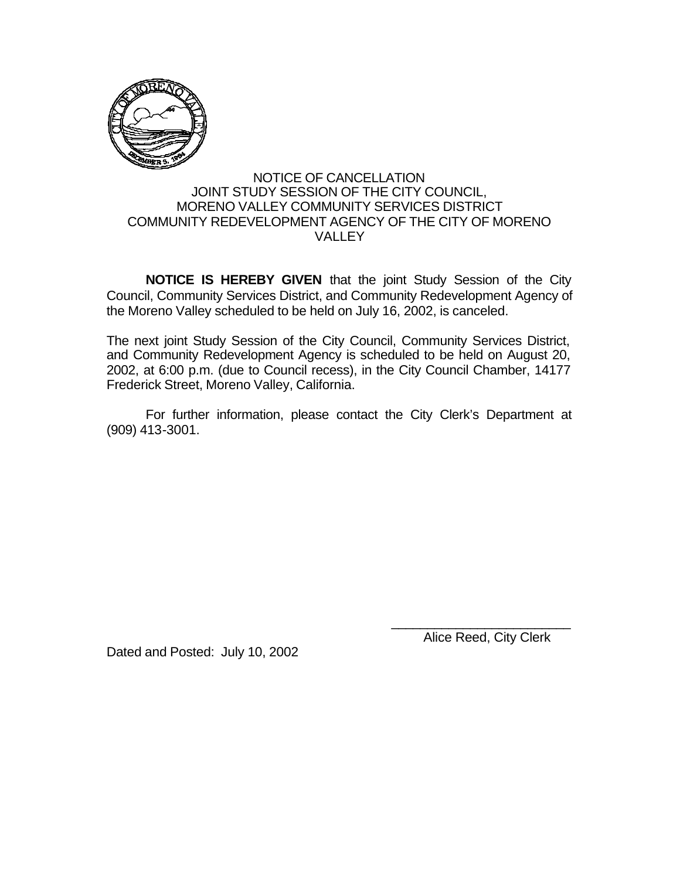

## NOTICE OF CANCELLATION JOINT STUDY SESSION OF THE CITY COUNCIL, MORENO VALLEY COMMUNITY SERVICES DISTRICT COMMUNITY REDEVELOPMENT AGENCY OF THE CITY OF MORENO VALLEY

**NOTICE IS HEREBY GIVEN** that the joint Study Session of the City Council, Community Services District, and Community Redevelopment Agency of the Moreno Valley scheduled to be held on July 16, 2002, is canceled.

The next joint Study Session of the City Council, Community Services District, and Community Redevelopment Agency is scheduled to be held on August 20, 2002, at 6:00 p.m. (due to Council recess), in the City Council Chamber, 14177 Frederick Street, Moreno Valley, California.

For further information, please contact the City Clerk's Department at (909) 413-3001.

Dated and Posted: July 10, 2002

Alice Reed, City Clerk

\_\_\_\_\_\_\_\_\_\_\_\_\_\_\_\_\_\_\_\_\_\_\_\_\_